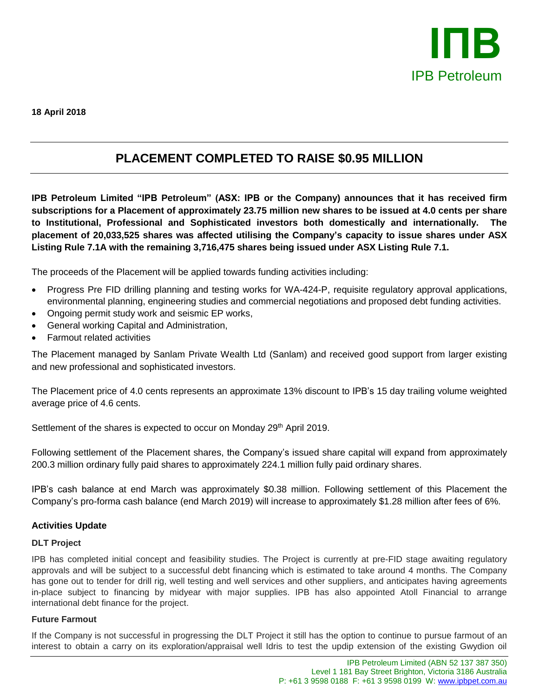

**18 April 2018**

# **PLACEMENT COMPLETED TO RAISE \$0.95 MILLION**

**IPB Petroleum Limited "IPB Petroleum" (ASX: IPB or the Company) announces that it has received firm subscriptions for a Placement of approximately 23.75 million new shares to be issued at 4.0 cents per share to Institutional, Professional and Sophisticated investors both domestically and internationally. The placement of 20,033,525 shares was affected utilising the Company's capacity to issue shares under ASX Listing Rule 7.1A with the remaining 3,716,475 shares being issued under ASX Listing Rule 7.1.**

The proceeds of the Placement will be applied towards funding activities including:

- Progress Pre FID drilling planning and testing works for WA-424-P, requisite regulatory approval applications, environmental planning, engineering studies and commercial negotiations and proposed debt funding activities.
- Ongoing permit study work and seismic EP works,
- General working Capital and Administration,
- Farmout related activities

The Placement managed by Sanlam Private Wealth Ltd (Sanlam) and received good support from larger existing and new professional and sophisticated investors.

The Placement price of 4.0 cents represents an approximate 13% discount to IPB's 15 day trailing volume weighted average price of 4.6 cents.

Settlement of the shares is expected to occur on Monday 29<sup>th</sup> April 2019.

Following settlement of the Placement shares, the Company's issued share capital will expand from approximately 200.3 million ordinary fully paid shares to approximately 224.1 million fully paid ordinary shares.

IPB's cash balance at end March was approximately \$0.38 million. Following settlement of this Placement the Company's pro-forma cash balance (end March 2019) will increase to approximately \$1.28 million after fees of 6%.

## **Activities Update**

#### **DLT Project**

IPB has completed initial concept and feasibility studies. The Project is currently at pre-FID stage awaiting regulatory approvals and will be subject to a successful debt financing which is estimated to take around 4 months. The Company has gone out to tender for drill rig, well testing and well services and other suppliers, and anticipates having agreements in-place subject to financing by midyear with major supplies. IPB has also appointed Atoll Financial to arrange international debt finance for the project.

#### **Future Farmout**

If the Company is not successful in progressing the DLT Project it still has the option to continue to pursue farmout of an interest to obtain a carry on its exploration/appraisal well Idris to test the updip extension of the existing Gwydion oil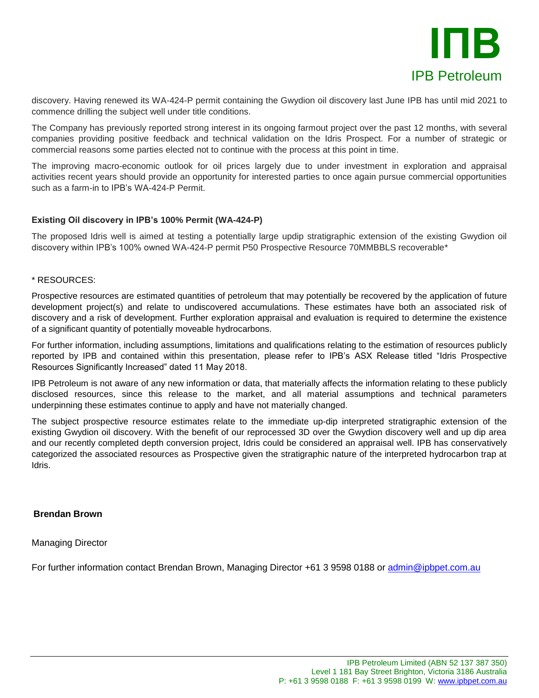

discovery. Having renewed its WA-424-P permit containing the Gwydion oil discovery last June IPB has until mid 2021 to commence drilling the subject well under title conditions.

The Company has previously reported strong interest in its ongoing farmout project over the past 12 months, with several companies providing positive feedback and technical validation on the Idris Prospect. For a number of strategic or commercial reasons some parties elected not to continue with the process at this point in time.

The improving macro-economic outlook for oil prices largely due to under investment in exploration and appraisal activities recent years should provide an opportunity for interested parties to once again pursue commercial opportunities such as a farm-in to IPB's WA-424-P Permit.

### **Existing Oil discovery in IPB's 100% Permit (WA-424-P)**

The proposed Idris well is aimed at testing a potentially large updip stratigraphic extension of the existing Gwydion oil discovery within IPB's 100% owned WA-424-P permit P50 Prospective Resource 70MMBBLS recoverable\*

#### \* RESOURCES:

Prospective resources are estimated quantities of petroleum that may potentially be recovered by the application of future development project(s) and relate to undiscovered accumulations. These estimates have both an associated risk of discovery and a risk of development. Further exploration appraisal and evaluation is required to determine the existence of a significant quantity of potentially moveable hydrocarbons.

For further information, including assumptions, limitations and qualifications relating to the estimation of resources publicly reported by IPB and contained within this presentation, please refer to IPB's ASX Release titled "Idris Prospective Resources Significantly Increased" dated 11 May 2018.

IPB Petroleum is not aware of any new information or data, that materially affects the information relating to these publicly disclosed resources, since this release to the market, and all material assumptions and technical parameters underpinning these estimates continue to apply and have not materially changed.

The subject prospective resource estimates relate to the immediate up-dip interpreted stratigraphic extension of the existing Gwydion oil discovery. With the benefit of our reprocessed 3D over the Gwydion discovery well and up dip area and our recently completed depth conversion project, Idris could be considered an appraisal well. IPB has conservatively categorized the associated resources as Prospective given the stratigraphic nature of the interpreted hydrocarbon trap at Idris.

#### **Brendan Brown**

Managing Director

For further information contact Brendan Brown, Managing Director +61 3 9598 0188 or [admin@ipbpet.com.au](mailto:admin@ipbpet.com.au)